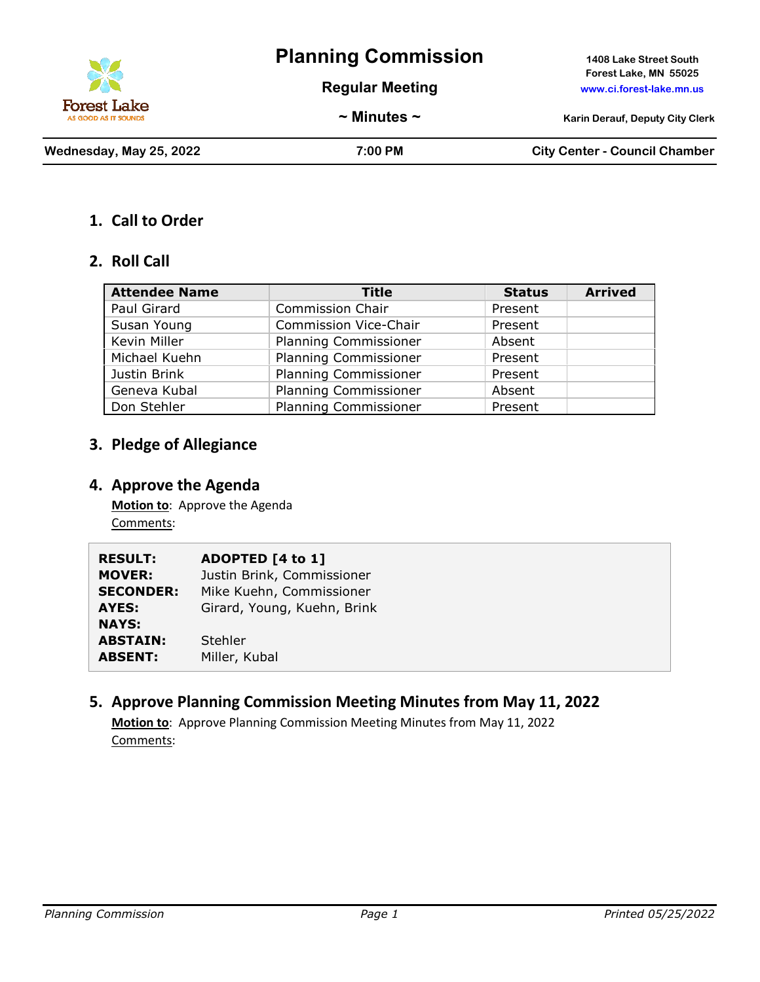

# **Planning Commission 1408 Lake Street South**

**Regular Meeting www.ci.forest-lake.mn.us**

**Forest Lake, MN 55025**

**~ Minutes ~ Karin Derauf, Deputy City Clerk**

**Wednesday, May 25, 2022 7:00 PM City Center - Council Chamber**

#### **1. Call to Order**

#### **2. Roll Call**

| <b>Attendee Name</b> | <b>Title</b>                 | <b>Status</b> | <b>Arrived</b> |
|----------------------|------------------------------|---------------|----------------|
| Paul Girard          | <b>Commission Chair</b>      | Present       |                |
| Susan Young          | <b>Commission Vice-Chair</b> | Present       |                |
| Kevin Miller         | <b>Planning Commissioner</b> | Absent        |                |
| Michael Kuehn        | <b>Planning Commissioner</b> | Present       |                |
| Justin Brink         | <b>Planning Commissioner</b> | Present       |                |
| Geneva Kubal         | <b>Planning Commissioner</b> | Absent        |                |
| Don Stehler          | <b>Planning Commissioner</b> | Present       |                |

## **3. Pledge of Allegiance**

#### **4. Approve the Agenda**

**Motion to**: Approve the Agenda Comments:

| <b>RESULT:</b>   | ADOPTED [4 to 1]            |
|------------------|-----------------------------|
| <b>MOVER:</b>    | Justin Brink, Commissioner  |
| <b>SECONDER:</b> | Mike Kuehn, Commissioner    |
| <b>AYES:</b>     | Girard, Young, Kuehn, Brink |
| <b>NAYS:</b>     |                             |
| <b>ABSTAIN:</b>  | <b>Stehler</b>              |
| <b>ABSENT:</b>   | Miller, Kubal               |

## **5. Approve Planning Commission Meeting Minutes from May 11, 2022**

**Motion to**: Approve Planning Commission Meeting Minutes from May 11, 2022 Comments: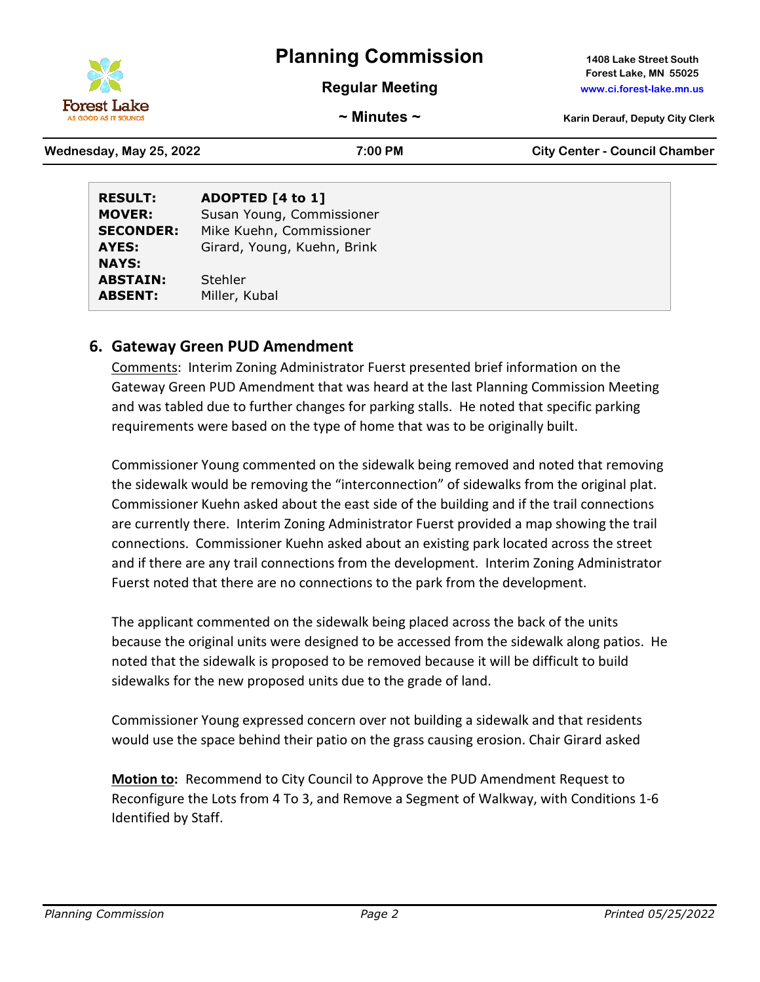

**NAYS:**

# **Planning Commission 1408 Lake Street South**

**Regular Meeting www.ci.forest-lake.mn.us**

**Forest Lake, MN 55025**

**~ Minutes ~ Karin Derauf, Deputy City Clerk**

| Wednesday, May 25, 2022 |                  | $7:00 \text{ PM}$           | <b>City Center - Council Chamber</b> |
|-------------------------|------------------|-----------------------------|--------------------------------------|
| <b>RESULT:</b>          | ADOPTED [4 to 1] |                             |                                      |
| <b>MOVER:</b>           |                  | Susan Young, Commissioner   |                                      |
| <b>SECONDER:</b>        |                  | Mike Kuehn, Commissioner    |                                      |
| AYES:                   |                  | Girard, Young, Kuehn, Brink |                                      |

**ABSTAIN:** Stehler **ABSENT:** Miller, Kubal

### **6. Gateway Green PUD Amendment**

Comments: Interim Zoning Administrator Fuerst presented brief information on the Gateway Green PUD Amendment that was heard at the last Planning Commission Meeting and was tabled due to further changes for parking stalls. He noted that specific parking requirements were based on the type of home that was to be originally built.

Commissioner Young commented on the sidewalk being removed and noted that removing the sidewalk would be removing the "interconnection" of sidewalks from the original plat. Commissioner Kuehn asked about the east side of the building and if the trail connections are currently there. Interim Zoning Administrator Fuerst provided a map showing the trail connections. Commissioner Kuehn asked about an existing park located across the street and if there are any trail connections from the development. Interim Zoning Administrator Fuerst noted that there are no connections to the park from the development.

The applicant commented on the sidewalk being placed across the back of the units because the original units were designed to be accessed from the sidewalk along patios. He noted that the sidewalk is proposed to be removed because it will be difficult to build sidewalks for the new proposed units due to the grade of land.

Commissioner Young expressed concern over not building a sidewalk and that residents would use the space behind their patio on the grass causing erosion. Chair Girard asked

**Motion to:** Recommend to City Council to Approve the PUD Amendment Request to Reconfigure the Lots from 4 To 3, and Remove a Segment of Walkway, with Conditions 1-6 Identified by Staff.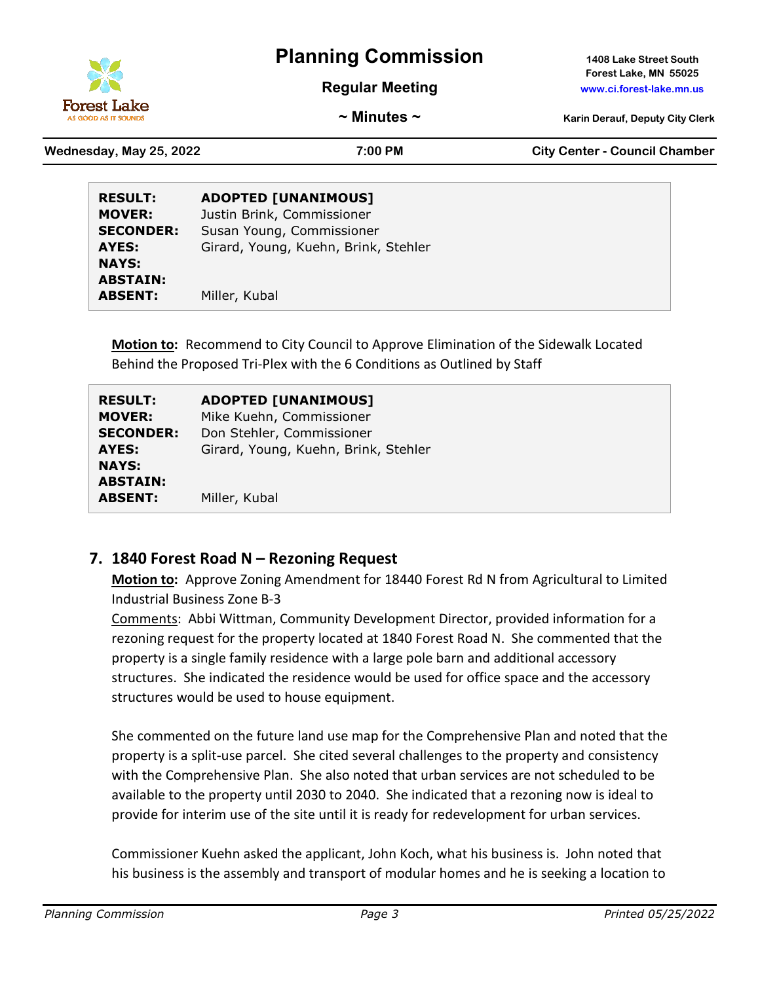

# **Planning Commission 1408 Lake Street South**

**Regular Meeting www.ci.forest-lake.mn.us**

**Forest Lake, MN 55025**

**~ Minutes ~ Karin Derauf, Deputy City Clerk**

**Wednesday, May 25, 2022 7:00 PM City Center - Council Chamber**

| <b>RESULT:</b>   | <b>ADOPTED [UNANIMOUS]</b>           |
|------------------|--------------------------------------|
| <b>MOVER:</b>    | Justin Brink, Commissioner           |
| <b>SECONDER:</b> | Susan Young, Commissioner            |
| AYES:            | Girard, Young, Kuehn, Brink, Stehler |
| <b>NAYS:</b>     |                                      |
| <b>ABSTAIN:</b>  |                                      |
| <b>ABSENT:</b>   | Miller, Kubal                        |

**Motion to:** Recommend to City Council to Approve Elimination of the Sidewalk Located Behind the Proposed Tri-Plex with the 6 Conditions as Outlined by Staff

| <b>RESULT:</b>                                    | <b>ADOPTED [UNANIMOUS]</b>           |
|---------------------------------------------------|--------------------------------------|
| <b>MOVER:</b>                                     | Mike Kuehn, Commissioner             |
| <b>SECONDER:</b>                                  | Don Stehler, Commissioner            |
| AYES:                                             | Girard, Young, Kuehn, Brink, Stehler |
| <b>NAYS:</b><br><b>ABSTAIN:</b><br><b>ABSENT:</b> | Miller, Kubal                        |

### **7. 1840 Forest Road N – Rezoning Request**

**Motion to:** Approve Zoning Amendment for 18440 Forest Rd N from Agricultural to Limited Industrial Business Zone B-3

Comments: Abbi Wittman, Community Development Director, provided information for a rezoning request for the property located at 1840 Forest Road N. She commented that the property is a single family residence with a large pole barn and additional accessory structures. She indicated the residence would be used for office space and the accessory structures would be used to house equipment.

She commented on the future land use map for the Comprehensive Plan and noted that the property is a split-use parcel. She cited several challenges to the property and consistency with the Comprehensive Plan. She also noted that urban services are not scheduled to be available to the property until 2030 to 2040. She indicated that a rezoning now is ideal to provide for interim use of the site until it is ready for redevelopment for urban services.

Commissioner Kuehn asked the applicant, John Koch, what his business is. John noted that his business is the assembly and transport of modular homes and he is seeking a location to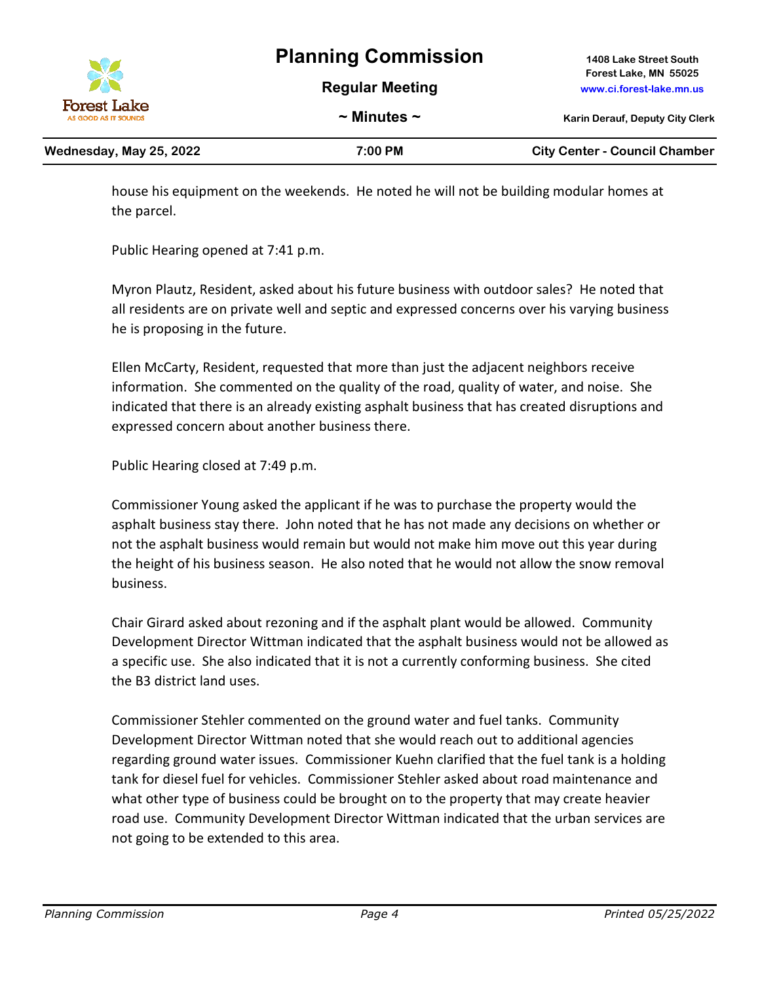**Regular Meeting www.ci.forest-lake.mn.us**

**Planning Commission 1408 Lake Street South Forest Lake, MN 55025**

Forest Lake

| Wednesday, May 25, 2022 | 7:00 PM | <b>City Center - Council Chamber</b> |
|-------------------------|---------|--------------------------------------|
|                         |         |                                      |

house his equipment on the weekends. He noted he will not be building modular homes at the parcel.

Public Hearing opened at 7:41 p.m.

Myron Plautz, Resident, asked about his future business with outdoor sales? He noted that all residents are on private well and septic and expressed concerns over his varying business he is proposing in the future.

Ellen McCarty, Resident, requested that more than just the adjacent neighbors receive information. She commented on the quality of the road, quality of water, and noise. She indicated that there is an already existing asphalt business that has created disruptions and expressed concern about another business there.

Public Hearing closed at 7:49 p.m.

Commissioner Young asked the applicant if he was to purchase the property would the asphalt business stay there. John noted that he has not made any decisions on whether or not the asphalt business would remain but would not make him move out this year during the height of his business season. He also noted that he would not allow the snow removal business.

Chair Girard asked about rezoning and if the asphalt plant would be allowed. Community Development Director Wittman indicated that the asphalt business would not be allowed as a specific use. She also indicated that it is not a currently conforming business. She cited the B3 district land uses.

Commissioner Stehler commented on the ground water and fuel tanks. Community Development Director Wittman noted that she would reach out to additional agencies regarding ground water issues. Commissioner Kuehn clarified that the fuel tank is a holding tank for diesel fuel for vehicles. Commissioner Stehler asked about road maintenance and what other type of business could be brought on to the property that may create heavier road use. Community Development Director Wittman indicated that the urban services are not going to be extended to this area.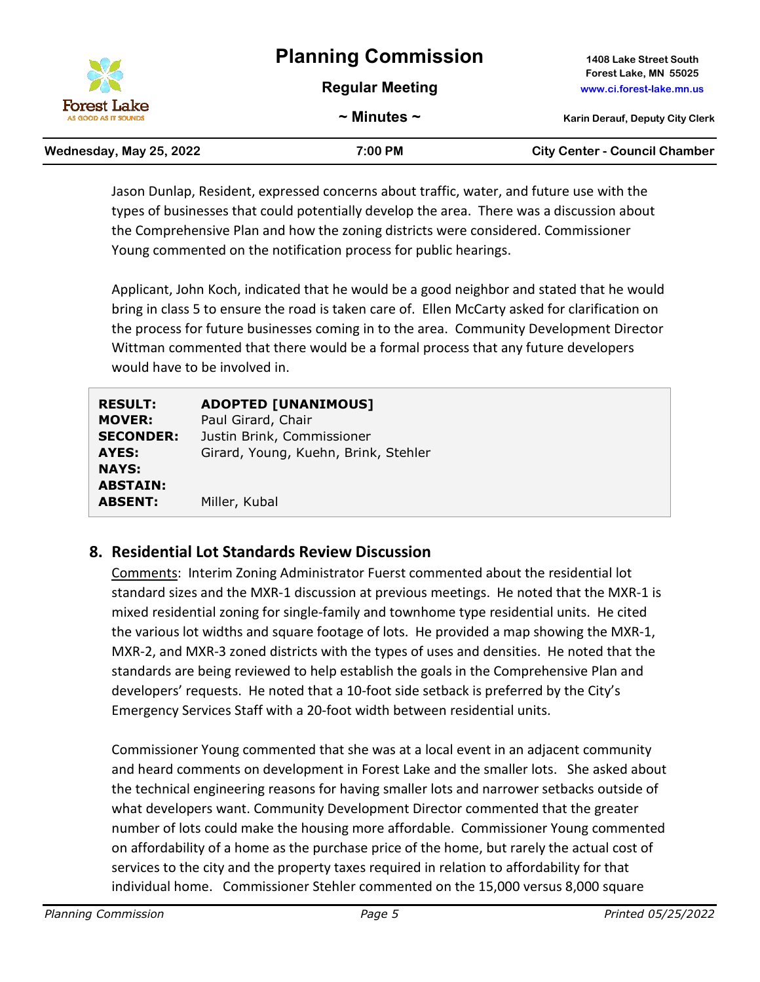|                                                 | <b>Planning Commission</b> | 1408 Lake Street South                            |
|-------------------------------------------------|----------------------------|---------------------------------------------------|
| X<br><b>Forest Lake</b><br>AS GOOD AS IT SOUNDS | <b>Regular Meeting</b>     | Forest Lake, MN 55025<br>www.ci.forest-lake.mn.us |
|                                                 | $\sim$ Minutes $\sim$      | <b>Karin Derauf, Deputy City Clerk</b>            |

| Wednesday, May 25, 2022 | 7:00 PM | <b>City Center - Council Chamber</b> |
|-------------------------|---------|--------------------------------------|
|                         |         |                                      |

Jason Dunlap, Resident, expressed concerns about traffic, water, and future use with the types of businesses that could potentially develop the area. There was a discussion about the Comprehensive Plan and how the zoning districts were considered. Commissioner Young commented on the notification process for public hearings.

Applicant, John Koch, indicated that he would be a good neighbor and stated that he would bring in class 5 to ensure the road is taken care of. Ellen McCarty asked for clarification on the process for future businesses coming in to the area. Community Development Director Wittman commented that there would be a formal process that any future developers would have to be involved in.

| <b>RESULT:</b>                                    | <b>ADOPTED [UNANIMOUS]</b>           |
|---------------------------------------------------|--------------------------------------|
| <b>MOVER:</b>                                     | Paul Girard, Chair                   |
| <b>SECONDER:</b>                                  | Justin Brink, Commissioner           |
| AYES:                                             | Girard, Young, Kuehn, Brink, Stehler |
| <b>NAYS:</b><br><b>ABSTAIN:</b><br><b>ABSENT:</b> | Miller, Kubal                        |

### **8. Residential Lot Standards Review Discussion**

Comments: Interim Zoning Administrator Fuerst commented about the residential lot standard sizes and the MXR-1 discussion at previous meetings. He noted that the MXR-1 is mixed residential zoning for single-family and townhome type residential units. He cited the various lot widths and square footage of lots. He provided a map showing the MXR-1, MXR-2, and MXR-3 zoned districts with the types of uses and densities. He noted that the standards are being reviewed to help establish the goals in the Comprehensive Plan and developers' requests. He noted that a 10-foot side setback is preferred by the City's Emergency Services Staff with a 20-foot width between residential units.

Commissioner Young commented that she was at a local event in an adjacent community and heard comments on development in Forest Lake and the smaller lots. She asked about the technical engineering reasons for having smaller lots and narrower setbacks outside of what developers want. Community Development Director commented that the greater number of lots could make the housing more affordable. Commissioner Young commented on affordability of a home as the purchase price of the home, but rarely the actual cost of services to the city and the property taxes required in relation to affordability for that individual home. Commissioner Stehler commented on the 15,000 versus 8,000 square